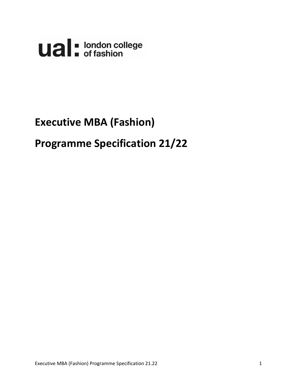**Ual** diase of fashion

# **Executive MBA (Fashion)**

# **Programme Specification 21/22**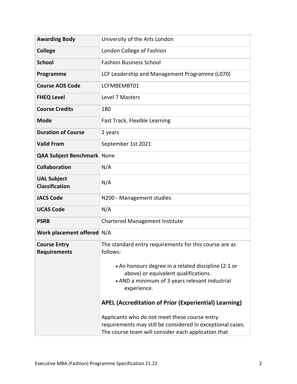| <b>Awarding Body</b>                        | University of the Arts London                                                                                                                                      |  |  |  |  |
|---------------------------------------------|--------------------------------------------------------------------------------------------------------------------------------------------------------------------|--|--|--|--|
| <b>College</b>                              | London College of Fashion                                                                                                                                          |  |  |  |  |
| <b>School</b>                               | <b>Fashion Business School</b>                                                                                                                                     |  |  |  |  |
| Programme                                   | LCF Leadership and Management Programme (L070)                                                                                                                     |  |  |  |  |
| <b>Course AOS Code</b>                      | LCFMBEMBT01                                                                                                                                                        |  |  |  |  |
| <b>FHEQ Level</b>                           | Level 7 Masters                                                                                                                                                    |  |  |  |  |
| <b>Course Credits</b>                       | 180                                                                                                                                                                |  |  |  |  |
| <b>Mode</b>                                 | Fast Track, Flexible Learning                                                                                                                                      |  |  |  |  |
| <b>Duration of Course</b>                   | 2 years                                                                                                                                                            |  |  |  |  |
| <b>Valid From</b>                           | September 1st 2021                                                                                                                                                 |  |  |  |  |
| <b>QAA Subject Benchmark</b>                | None                                                                                                                                                               |  |  |  |  |
| <b>Collaboration</b>                        | N/A                                                                                                                                                                |  |  |  |  |
| <b>UAL Subject</b><br><b>Classification</b> | N/A                                                                                                                                                                |  |  |  |  |
| <b>JACS Code</b>                            | N200 - Management studies                                                                                                                                          |  |  |  |  |
| <b>UCAS Code</b>                            | N/A                                                                                                                                                                |  |  |  |  |
| <b>PSRB</b>                                 | <b>Chartered Management Institute</b>                                                                                                                              |  |  |  |  |
| Work placement offered N/A                  |                                                                                                                                                                    |  |  |  |  |
| <b>Course Entry</b><br><b>Requirements</b>  | The standard entry requirements for this course are as<br>follows:                                                                                                 |  |  |  |  |
|                                             | • An honours degree in a related discipline (2:1 or<br>above) or equivalent qualifications.<br>• AND a minimum of 3 years relevant industrial<br>experience.       |  |  |  |  |
|                                             | <b>APEL (Accreditation of Prior (Experiential) Learning)</b>                                                                                                       |  |  |  |  |
|                                             | Applicants who do not meet these course entry<br>requirements may still be considered in exceptional cases.<br>The course team will consider each application that |  |  |  |  |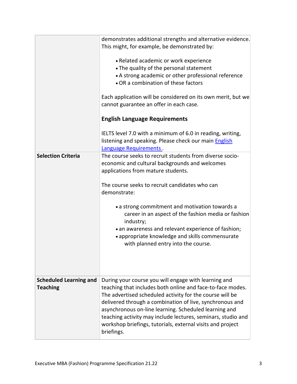| <b>Selection Criteria</b>                        | demonstrates additional strengths and alternative evidence.<br>This might, for example, be demonstrated by:<br>• Related academic or work experience<br>• The quality of the personal statement<br>• A strong academic or other professional reference<br>• OR a combination of these factors<br>Each application will be considered on its own merit, but we<br>cannot guarantee an offer in each case.<br><b>English Language Requirements</b><br>IELTS level 7.0 with a minimum of 6.0 in reading, writing,<br>listening and speaking. Please check our main English<br>Language Requirements.<br>The course seeks to recruit students from diverse socio-<br>economic and cultural backgrounds and welcomes<br>applications from mature students. |  |  |  |
|--------------------------------------------------|-------------------------------------------------------------------------------------------------------------------------------------------------------------------------------------------------------------------------------------------------------------------------------------------------------------------------------------------------------------------------------------------------------------------------------------------------------------------------------------------------------------------------------------------------------------------------------------------------------------------------------------------------------------------------------------------------------------------------------------------------------|--|--|--|
|                                                  | The course seeks to recruit candidates who can<br>demonstrate:<br>• a strong commitment and motivation towards a<br>career in an aspect of the fashion media or fashion<br>industry;<br>• an awareness and relevant experience of fashion;<br>• appropriate knowledge and skills commensurate<br>with planned entry into the course.                                                                                                                                                                                                                                                                                                                                                                                                                  |  |  |  |
| <b>Scheduled Learning and</b><br><b>Teaching</b> | During your course you will engage with learning and<br>teaching that includes both online and face-to-face modes.<br>The advertised scheduled activity for the course will be<br>delivered through a combination of live, synchronous and<br>asynchronous on-line learning. Scheduled learning and<br>teaching activity may include lectures, seminars, studio and<br>workshop briefings, tutorials, external visits and project<br>briefings.                                                                                                                                                                                                                                                                                                       |  |  |  |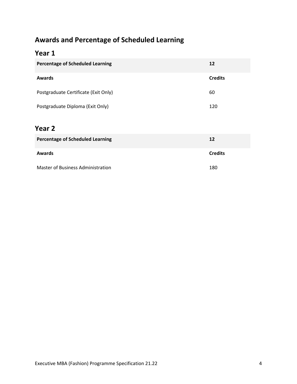### **Awards and Percentage of Scheduled Learning**

#### **Year 1**

| <b>Percentage of Scheduled Learning</b> | 12             |
|-----------------------------------------|----------------|
| <b>Awards</b>                           | <b>Credits</b> |
| Postgraduate Certificate (Exit Only)    | 60             |
| Postgraduate Diploma (Exit Only)        | 120            |
| Year 2                                  |                |
| <b>Percentage of Scheduled Learning</b> | 12             |
| <b>Awards</b>                           | <b>Credits</b> |
| Master of Business Administration       | 180            |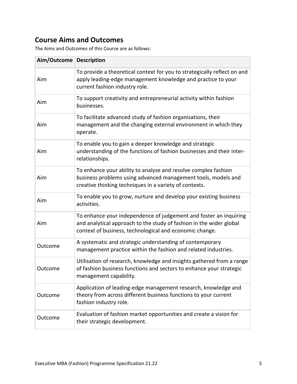### **Course Aims and Outcomes**

The Aims and Outcomes of this Course are as follows:

| Aim/Outcome   Description |                                                                                                                                                                                                     |
|---------------------------|-----------------------------------------------------------------------------------------------------------------------------------------------------------------------------------------------------|
| Aim                       | To provide a theoretical context for you to strategically reflect on and<br>apply leading-edge management knowledge and practice to your<br>current fashion industry role.                          |
| Aim                       | To support creativity and entrepreneurial activity within fashion<br>businesses.                                                                                                                    |
| Aim                       | To facilitate advanced study of fashion organisations, their<br>management and the changing external environment in which they<br>operate.                                                          |
| Aim                       | To enable you to gain a deeper knowledge and strategic<br>understanding of the functions of fashion businesses and their inter-<br>relationships.                                                   |
| Aim                       | To enhance your ability to analyse and resolve complex fashion<br>business problems using advanced management tools, models and<br>creative thinking techniques in a variety of contexts.           |
| Aim                       | To enable you to grow, nurture and develop your existing business<br>activities.                                                                                                                    |
| Aim                       | To enhance your independence of judgement and foster an inquiring<br>and analytical approach to the study of fashion in the wider global<br>context of business, technological and economic change. |
| Outcome                   | A systematic and strategic understanding of contemporary<br>management practice within the fashion and related industries.                                                                          |
| Outcome                   | Utilisation of research, knowledge and insights gathered from a range<br>of fashion business functions and sectors to enhance your strategic<br>management capability.                              |
| Outcome                   | Application of leading-edge management research, knowledge and<br>theory from across different business functions to your current<br>fashion industry role.                                         |
| Outcome                   | Evaluation of fashion market opportunities and create a vision for<br>their strategic development.                                                                                                  |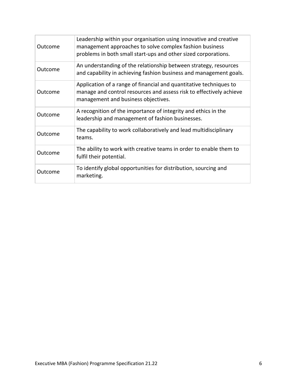| Outcome | Leadership within your organisation using innovative and creative<br>management approaches to solve complex fashion business<br>problems in both small start-ups and other sized corporations. |
|---------|------------------------------------------------------------------------------------------------------------------------------------------------------------------------------------------------|
| Outcome | An understanding of the relationship between strategy, resources<br>and capability in achieving fashion business and management goals.                                                         |
| Outcome | Application of a range of financial and quantitative techniques to<br>manage and control resources and assess risk to effectively achieve<br>management and business objectives.               |
| Outcome | A recognition of the importance of integrity and ethics in the<br>leadership and management of fashion businesses.                                                                             |
| Outcome | The capability to work collaboratively and lead multidisciplinary<br>teams.                                                                                                                    |
| Outcome | The ability to work with creative teams in order to enable them to<br>fulfil their potential.                                                                                                  |
| Outcome | To identify global opportunities for distribution, sourcing and<br>marketing.                                                                                                                  |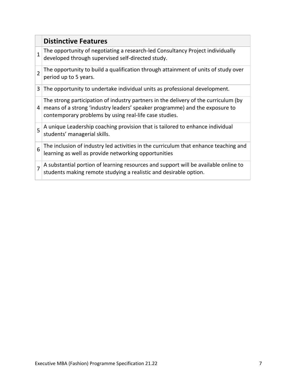|                | <b>Distinctive Features</b>                                                                                                                                                                                                  |
|----------------|------------------------------------------------------------------------------------------------------------------------------------------------------------------------------------------------------------------------------|
| $\mathbf{1}$   | The opportunity of negotiating a research-led Consultancy Project individually<br>developed through supervised self-directed study.                                                                                          |
| $\overline{2}$ | The opportunity to build a qualification through attainment of units of study over<br>period up to 5 years.                                                                                                                  |
| 3              | The opportunity to undertake individual units as professional development.                                                                                                                                                   |
| $\overline{4}$ | The strong participation of industry partners in the delivery of the curriculum (by<br>means of a strong 'industry leaders' speaker programme) and the exposure to<br>contemporary problems by using real-life case studies. |
| 5              | A unique Leadership coaching provision that is tailored to enhance individual<br>students' managerial skills.                                                                                                                |
| 6              | The inclusion of industry led activities in the curriculum that enhance teaching and<br>learning as well as provide networking opportunities                                                                                 |
| $\overline{7}$ | A substantial portion of learning resources and support will be available online to<br>students making remote studying a realistic and desirable option.                                                                     |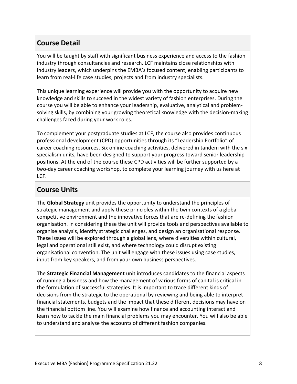#### **Course Detail**

You will be taught by staff with significant business experience and access to the fashion industry through consultancies and research. LCF maintains close relationships with industry leaders, which underpins the EMBA's focused content, enabling participants to learn from real-life case studies, projects and from industry specialists.

This unique learning experience will provide you with the opportunity to acquire new knowledge and skills to succeed in the widest variety of fashion enterprises. During the course you will be able to enhance your leadership, evaluative, analytical and problemsolving skills, by combining your growing theoretical knowledge with the decision-making challenges faced during your work roles.

To complement your postgraduate studies at LCF, the course also provides continuous professional development (CPD) opportunities through its "Leadership Portfolio" of career coaching resources. Six online coaching activities, delivered in tandem with the six specialism units, have been designed to support your progress toward senior leadership positions. At the end of the course these CPD activities will be further supported by a two-day career coaching workshop, to complete your learning journey with us here at LCF.

#### **Course Units**

The **Global Strategy** unit provides the opportunity to understand the principles of strategic management and apply these principles within the twin contexts of a global competitive environment and the innovative forces that are re-defining the fashion organisation. In considering these the unit will provide tools and perspectives available to organise analysis, identify strategic challenges, and design an organisational response. These issues will be explored through a global lens, where diversities within cultural, legal and operational still exist, and where technology could disrupt existing organisational convention. The unit will engage with these issues using case studies, input from key speakers, and from your own business perspectives.

The **Strategic Financial Management** unit introduces candidates to the financial aspects of running a business and how the management of various forms of capital is critical in the formulation of successful strategies. It is important to trace different kinds of decisions from the strategic to the operational by reviewing and being able to interpret financial statements, budgets and the impact that these different decisions may have on the financial bottom line. You will examine how finance and accounting interact and learn how to tackle the main financial problems you may encounter. You will also be able to understand and analyse the accounts of different fashion companies.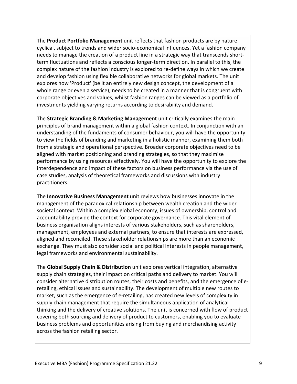The **Product Portfolio Management** unit reflects that fashion products are by nature cyclical, subject to trends and wider socio-economical influences. Yet a fashion company needs to manage the creation of a product line in a strategic way that transcends shortterm fluctuations and reflects a conscious longer-term direction. In parallel to this, the complex nature of the fashion industry is explored to re-define ways in which we create and develop fashion using flexible collaborative networks for global markets. The unit explores how 'Product' (be it an entirely new design concept, the development of a whole range or even a service), needs to be created in a manner that is congruent with corporate objectives and values, whilst fashion ranges can be viewed as a portfolio of investments yielding varying returns according to desirability and demand.

The **Strategic Branding & Marketing Management** unit critically examines the main principles of brand management within a global fashion context. In conjunction with an understanding of the fundaments of consumer behaviour, you will have the opportunity to view the fields of branding and marketing in a holistic manner, examining them both from a strategic and operational perspective. Broader corporate objectives need to be aligned with market positioning and branding strategies, so that they maximise performance by using resources effectively. You will have the opportunity to explore the interdependence and impact of these factors on business performance via the use of case studies, analysis of theoretical frameworks and discussions with industry practitioners.

The **Innovative Business Management** unit reviews how businesses innovate in the management of the paradoxical relationship between wealth creation and the wider societal context. Within a complex global economy, issues of ownership, control and accountability provide the context for corporate governance. This vital element of business organisation aligns interests of various stakeholders, such as shareholders, management, employees and external partners, to ensure that interests are expressed, aligned and reconciled. These stakeholder relationships are more than an economic exchange. They must also consider social and political interests in people management, legal frameworks and environmental sustainability.

The **Global Supply Chain & Distribution** unit explores vertical integration, alternative supply chain strategies, their impact on critical paths and delivery to market. You will consider alternative distribution routes, their costs and benefits, and the emergence of eretailing, ethical issues and sustainability. The development of multiple new routes to market, such as the emergence of e-retailing, has created new levels of complexity in supply chain management that require the simultaneous application of analytical thinking and the delivery of creative solutions. The unit is concerned with flow of product covering both sourcing and delivery of product to customers, enabling you to evaluate business problems and opportunities arising from buying and merchandising activity across the fashion retailing sector.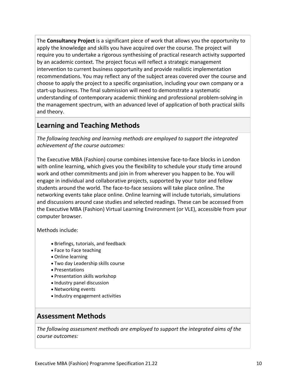The **Consultancy Project** is a significant piece of work that allows you the opportunity to apply the knowledge and skills you have acquired over the course. The project will require you to undertake a rigorous synthesising of practical research activity supported by an academic context. The project focus will reflect a strategic management intervention to current business opportunity and provide realistic implementation recommendations. You may reflect any of the subject areas covered over the course and choose to apply the project to a specific organisation, including your own company or a start-up business. The final submission will need to demonstrate a systematic understanding of contemporary academic thinking and professional problem-solving in the management spectrum, with an advanced level of application of both practical skills and theory.

#### **Learning and Teaching Methods**

*The following teaching and learning methods are employed to support the integrated achievement of the course outcomes:*

The Executive MBA (Fashion) course combines intensive face-to-face blocks in London with online learning, which gives you the flexibility to schedule your study time around work and other commitments and join in from wherever you happen to be. You will engage in individual and collaborative projects, supported by your tutor and fellow students around the world. The face-to-face sessions will take place online. The networking events take place online. Online learning will include tutorials, simulations and discussions around case studies and selected readings. These can be accessed from the Executive MBA (Fashion) Virtual Learning Environment (or VLE), accessible from your computer browser.

Methods include:

- Briefings, tutorials, and feedback
- Face to Face teaching
- Online learning
- Two day Leadership skills course
- Presentations
- Presentation skills workshop
- Industry panel discussion
- Networking events
- Industry engagement activities

#### **Assessment Methods**

*The following assessment methods are employed to support the integrated aims of the course outcomes:*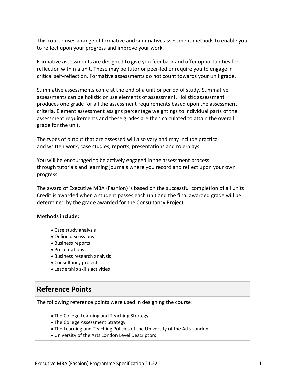This course uses a range of formative and summative assessment methods to enable you to reflect upon your progress and improve your work.

Formative assessments are designed to give you feedback and offer opportunities for reflection within a unit. These may be tutor or peer-led or require you to engage in critical self-reflection. Formative assessments do not count towards your unit grade.

Summative assessments come at the end of a unit or period of study. Summative assessments can be holistic or use elements of assessment. Holistic assessment produces one grade for all the assessment requirements based upon the assessment criteria. Element assessment assigns percentage weightings to individual parts of the assessment requirements and these grades are then calculated to attain the overall grade for the unit.

The types of output that are assessed will also vary and may include practical and written work, case studies, reports, presentations and role-plays.

You will be encouraged to be actively engaged in the assessment process through tutorials and learning journals where you record and reflect upon your own progress.

The award of Executive MBA (Fashion) is based on the successful completion of all units. Credit is awarded when a student passes each unit and the final awarded grade will be determined by the grade awarded for the Consultancy Project.

#### **Methods include:**

- Case study analysis
- Online discussions
- Business reports
- Presentations
- Business research analysis
- Consultancy project
- Leadership skills activities

#### **Reference Points**

The following reference points were used in designing the course:

- The College Learning and Teaching Strategy
- The College Assessment Strategy
- The Learning and Teaching Policies of the University of the Arts London
- University of the Arts London Level Descriptors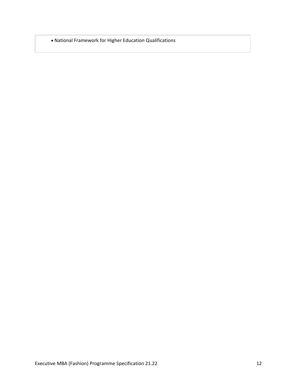National Framework for Higher Education Qualifications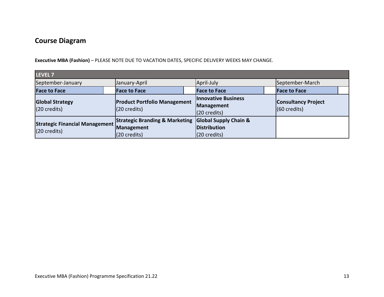#### **Course Diagram**

**Executive MBA (Fashion)** – PLEASE NOTE DUE TO VACATION DATES, SPECIFIC DELIVERY WEEKS MAY CHANGE.

| LEVEL 7                                               |  |                                                                         |  |                                                                            |  |                                                      |  |  |
|-------------------------------------------------------|--|-------------------------------------------------------------------------|--|----------------------------------------------------------------------------|--|------------------------------------------------------|--|--|
| September-January                                     |  | January-April                                                           |  | April-July                                                                 |  | September-March                                      |  |  |
| <b>Face to Face</b>                                   |  | <b>Face to Face</b>                                                     |  | <b>Face to Face</b>                                                        |  | <b>Face to Face</b>                                  |  |  |
| <b>Global Strategy</b><br>$(20 \text{ credits})$      |  | <b>Product Portfolio Management</b><br>$(20 \text{ credits})$           |  | <b>Innovative Business</b><br>Management<br>$(20 \text{ credits})$         |  | <b>Consultancy Project</b><br>$(60 \text{ credits})$ |  |  |
| <b>Strategic Financial Management</b><br>(20 credits) |  | <b>Strategic Branding &amp; Marketing</b><br>Management<br>(20 credits) |  | <b>Global Supply Chain &amp;</b><br>Distribution<br>$(20 \text{ credits})$ |  |                                                      |  |  |